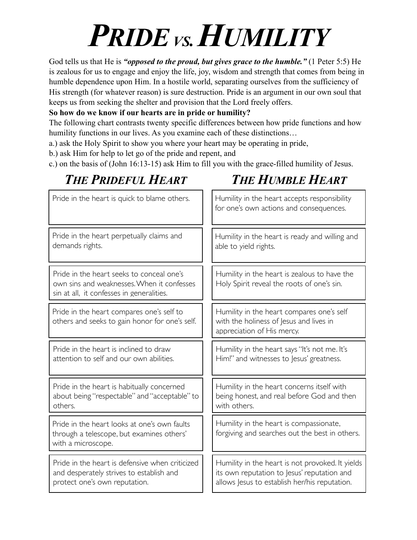# PRIDE<sub>VS.</sub> HUMILITY

God tells us that He is *"opposed to the proud, but gives grace to the humble."* (1 Peter 5:5) He is zealous for us to engage and enjoy the life, joy, wisdom and strength that comes from being in humble dependence upon Him. In a hostile world, separating ourselves from the sufficiency of His strength (for whatever reason) is sure destruction. Pride is an argument in our own soul that keeps us from seeking the shelter and provision that the Lord freely offers.

### **So how do we know if our hearts are in pride or humility?**

The following chart contrasts twenty specific differences between how pride functions and how humility functions in our lives. As you examine each of these distinctions...

a.) ask the Holy Spirit to show you where your heart may be operating in pride,

b.) ask Him for help to let go of the pride and repent, and

c.) on the basis of (John 16:13-15) ask Him to fill you with the grace-filled humility of Jesus.

### Pride in the heart is habitually concerned about being "respectable" and "acceptable" to others. Humility in the heart concerns itself with being honest, and real before God and then with others. Pride in the heart seeks to conceal one's own sins and weaknesses. When it confesses sin at all, it confesses in generalities. Humility in the heart compares one's self with the holiness of lesus and lives in appreciation of His mercy. Pride in the heart compares one's self to others and seeks to gain honor for one's self. Humility in the heart says "It's not me. It's Him!" and witnesses to Jesus' greatness. Pride in the heart is inclined to draw attention to self and our own abilities. Humility in the heart is zealous to have the Holy Spirit reveal the roots of one's sin. Pride in the heart perpetually claims and demands rights. Humility in the heart is ready and willing and able to yield rights. Pride in the heart looks at one's own faults through a telescope, but examines others' with a microscope. Humility in the heart is compassionate, forgiving and searches out the best in others. Pride in the heart is quick to blame others.  $\|\cdot\|$  Humility in the heart accepts responsibility for one's own actions and consequences. Pride in the heart is defensive when criticized and desperately strives to establish and protect one's own reputation. Humility in the heart is not provoked. It yields its own reputation to Jesus' reputation and allows Jesus to establish her/his reputation.

## *THE PRIDEFUL HEART THE HUMBLE HEART*